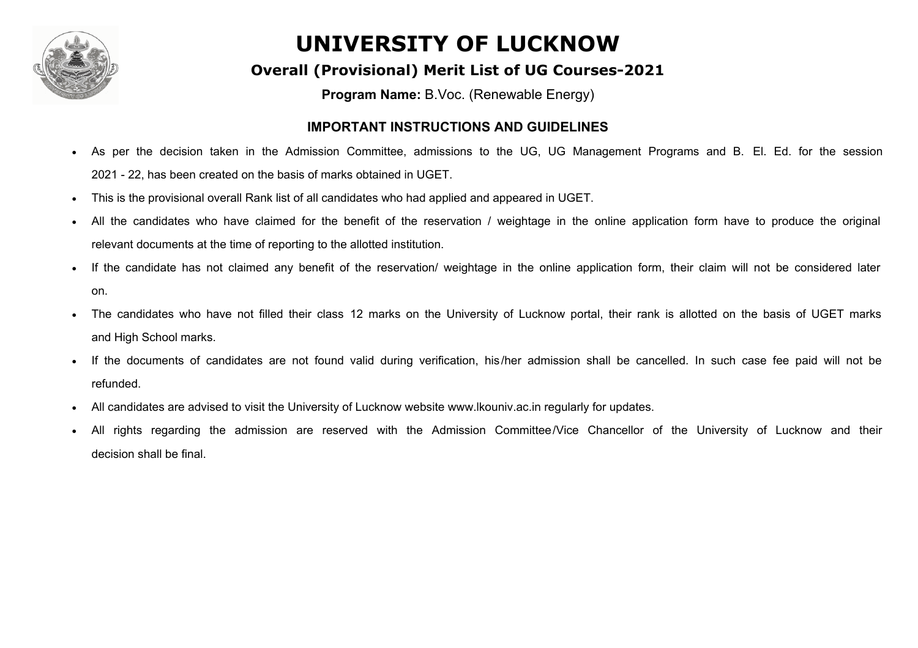

# **UNIVERSITY OF LUCKNOW**

#### **Overall (Provisional) Merit List of UG Courses-2021**

**Program Name:** B.Voc. (Renewable Energy)

#### **IMPORTANT INSTRUCTIONS AND GUIDELINES**

- As per the decision taken in the Admission Committee, admissions to the UG, UG Management Programs and B. El. Ed. for the session 2021 - 22, has been created on the basis of marks obtained in UGET.
- This is the provisional overall Rank list of all candidates who had applied and appeared in UGET.
- All the candidates who have claimed for the benefit of the reservation / weightage in the online application form have to produce the original relevant documents at the time of reporting to the allotted institution.
- If the candidate has not claimed any benefit of the reservation/ weightage in the online application form, their claim will not be considered later on.
- The candidates who have not filled their class 12 marks on the University of Lucknow portal, their rank is allotted on the basis of UGET marks and High School marks.
- If the documents of candidates are not found valid during verification, his/her admission shall be cancelled. In such case fee paid will not be refunded.
- All candidates are advised to visit the University of Lucknow website www.lkouniv.ac.in regularly for updates.
- All rights regarding the admission are reserved with the Admission Committee/Vice Chancellor of the University of Lucknow and their decision shall be final.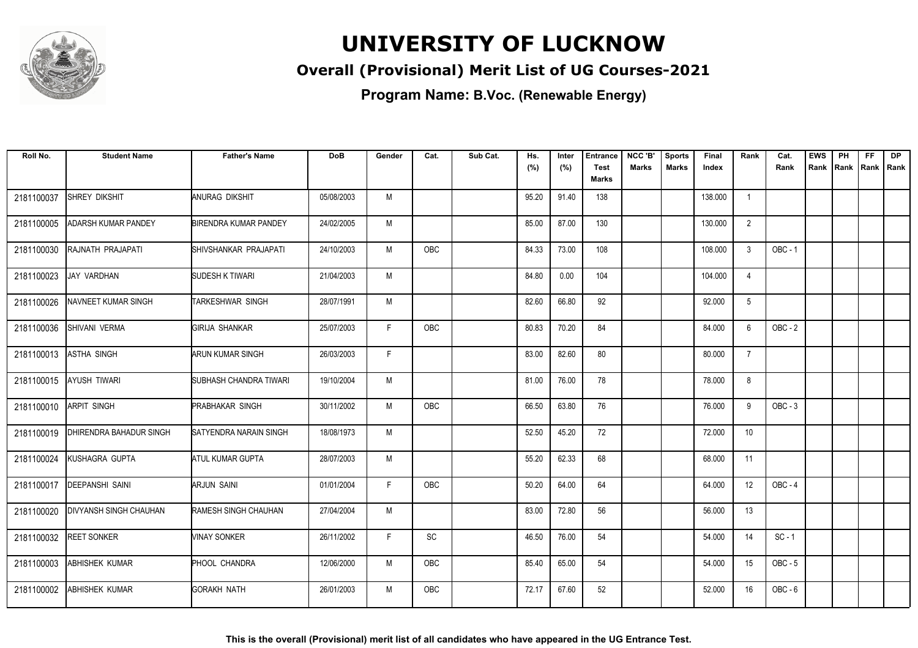

# **UNIVERSITY OF LUCKNOW**

### **Overall (Provisional) Merit List of UG Courses-2021**

**Program Name: B.Voc. (Renewable Energy)**

| Roll No.   | <b>Student Name</b>           | <b>Father's Name</b>          | <b>DoB</b> | Gender | Cat.       | Sub Cat. | Hs.<br>(%) | Inter<br>(%) | Entrance<br><b>Test</b> | NCC 'B'<br><b>Marks</b> | <b>Sports</b><br><b>Marks</b> | <b>Final</b><br>Index | Rank              | Cat.<br>Rank   | <b>EWS</b><br>Rank Rank | PH | <b>FF</b><br>Rank   Rank | <b>DP</b> |
|------------|-------------------------------|-------------------------------|------------|--------|------------|----------|------------|--------------|-------------------------|-------------------------|-------------------------------|-----------------------|-------------------|----------------|-------------------------|----|--------------------------|-----------|
|            |                               |                               |            |        |            |          |            |              | <b>Marks</b>            |                         |                               |                       |                   |                |                         |    |                          |           |
| 2181100037 | SHREY DIKSHIT                 | ANURAG DIKSHIT                | 05/08/2003 | M      |            |          | 95.20      | 91.40        | 138                     |                         |                               | 138.000               | $\overline{1}$    |                |                         |    |                          |           |
| 2181100005 | ADARSH KUMAR PANDEY           | <b>BIRENDRA KUMAR PANDEY</b>  | 24/02/2005 | M      |            |          | 85.00      | 87.00        | 130                     |                         |                               | 130.000               | $\overline{2}$    |                |                         |    |                          |           |
| 2181100030 | RAJNATH PRAJAPATI             | SHIVSHANKAR PRAJAPATI         | 24/10/2003 | M      | OBC        |          | 84.33      | 73.00        | 108                     |                         |                               | 108.000               | 3                 | <b>OBC - 1</b> |                         |    |                          |           |
| 2181100023 | JAY VARDHAN                   | SUDESH K TIWARI               | 21/04/2003 | M      |            |          | 84.80      | 0.00         | 104                     |                         |                               | 104.000               | $\overline{4}$    |                |                         |    |                          |           |
| 2181100026 | NAVNEET KUMAR SINGH           | TARKESHWAR SINGH              | 28/07/1991 | M      |            |          | 82.60      | 66.80        | 92                      |                         |                               | 92.000                | 5                 |                |                         |    |                          |           |
| 2181100036 | <b>SHIVANI VERMA</b>          | <b>GIRIJA SHANKAR</b>         | 25/07/2003 | F.     | <b>OBC</b> |          | 80.83      | 70.20        | 84                      |                         |                               | 84.000                | 6                 | $OBC - 2$      |                         |    |                          |           |
| 2181100013 | <b>ASTHA SINGH</b>            | <b>ARUN KUMAR SINGH</b>       | 26/03/2003 | F.     |            |          | 83.00      | 82.60        | 80                      |                         |                               | 80.000                | $\overline{7}$    |                |                         |    |                          |           |
| 2181100015 | <b>AYUSH TIWARI</b>           | SUBHASH CHANDRA TIWARI        | 19/10/2004 | М      |            |          | 81.00      | 76.00        | 78                      |                         |                               | 78.000                | 8                 |                |                         |    |                          |           |
| 2181100010 | <b>ARPIT SINGH</b>            | <b>PRABHAKAR SINGH</b>        | 30/11/2002 | M      | <b>OBC</b> |          | 66.50      | 63.80        | 76                      |                         |                               | 76.000                | 9                 | $OBC - 3$      |                         |    |                          |           |
| 2181100019 | DHIRENDRA BAHADUR SINGH       | <b>SATYENDRA NARAIN SINGH</b> | 18/08/1973 | M      |            |          | 52.50      | 45.20        | 72                      |                         |                               | 72.000                | 10                |                |                         |    |                          |           |
| 2181100024 | KUSHAGRA GUPTA                | <b>ATUL KUMAR GUPTA</b>       | 28/07/2003 | M      |            |          | 55.20      | 62.33        | 68                      |                         |                               | 68.000                | 11                |                |                         |    |                          |           |
| 2181100017 | <b>DEEPANSHI SAINI</b>        | <b>ARJUN SAINI</b>            | 01/01/2004 | F.     | <b>OBC</b> |          | 50.20      | 64.00        | 64                      |                         |                               | 64.000                | $12 \overline{ }$ | OBC-4          |                         |    |                          |           |
| 2181100020 | <b>DIVYANSH SINGH CHAUHAN</b> | RAMESH SINGH CHAUHAN          | 27/04/2004 | М      |            |          | 83.00      | 72.80        | 56                      |                         |                               | 56.000                | 13                |                |                         |    |                          |           |
| 2181100032 | <b>REET SONKER</b>            | <b>VINAY SONKER</b>           | 26/11/2002 | F.     | SC         |          | 46.50      | 76.00        | 54                      |                         |                               | 54.000                | 14                | $SC - 1$       |                         |    |                          |           |
| 2181100003 | ABHISHEK KUMAR                | <b>PHOOL CHANDRA</b>          | 12/06/2000 | M      | <b>OBC</b> |          | 85.40      | 65.00        | 54                      |                         |                               | 54.000                | 15                | $OBC - 5$      |                         |    |                          |           |
| 2181100002 | <b>ABHISHEK KUMAR</b>         | <b>GORAKH NATH</b>            | 26/01/2003 | M      | <b>OBC</b> |          | 72.17      | 67.60        | 52                      |                         |                               | 52.000                | 16                | $OBC - 6$      |                         |    |                          |           |